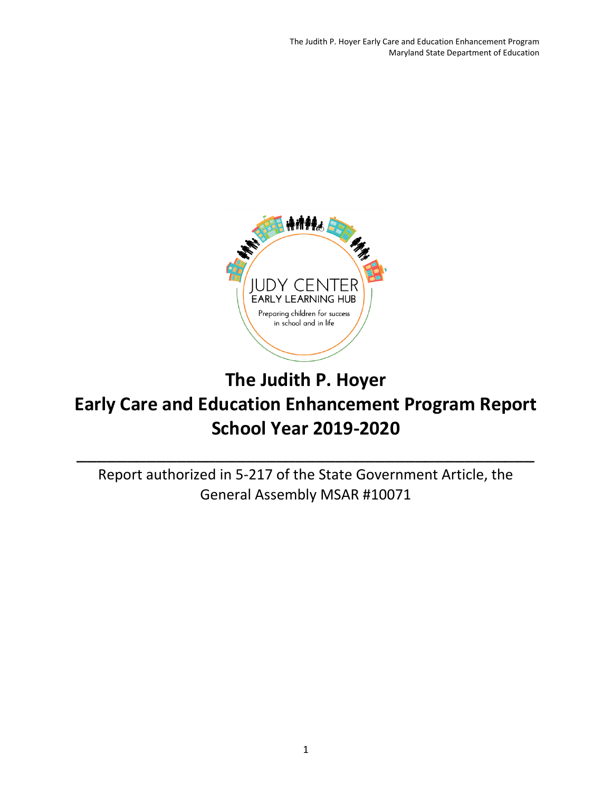

# **The Judith P. Hoyer Early Care and Education Enhancement Program Report School Year 2019-2020**

Report authorized in 5-217 of the State Government Article, the General Assembly MSAR #10071

\_\_\_\_\_\_\_\_\_\_\_\_\_\_\_\_\_\_\_\_\_\_\_\_\_\_\_\_\_\_\_\_\_\_\_\_\_\_\_\_\_\_\_\_\_\_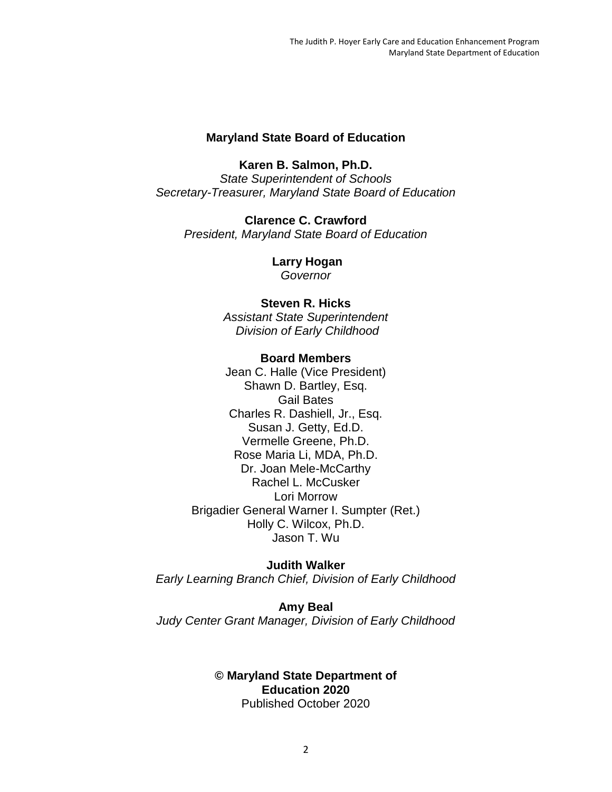#### **Maryland State Board of Education**

**Karen B. Salmon, Ph.D.** *State Superintendent of Schools Secretary-Treasurer, Maryland State Board of Education*

**Clarence C. Crawford** *President, Maryland State Board of Education*

> **Larry Hogan** *Governor*

#### **Steven R. Hicks**

*Assistant State Superintendent Division of Early Childhood* 

#### **Board Members**

Jean C. Halle (Vice President) Shawn D. Bartley, Esq. Gail Bates Charles R. Dashiell, Jr., Esq. Susan J. Getty, Ed.D. Vermelle Greene, Ph.D. Rose Maria Li, MDA, Ph.D. Dr. Joan Mele-McCarthy Rachel L. McCusker Lori Morrow Brigadier General Warner I. Sumpter (Ret.) Holly C. Wilcox, Ph.D. Jason T. Wu

#### **Judith Walker**

*Early Learning Branch Chief, Division of Early Childhood* 

**Amy Beal** *Judy Center Grant Manager, Division of Early Childhood* 

#### **© Maryland State Department of Education 2020** Published October 2020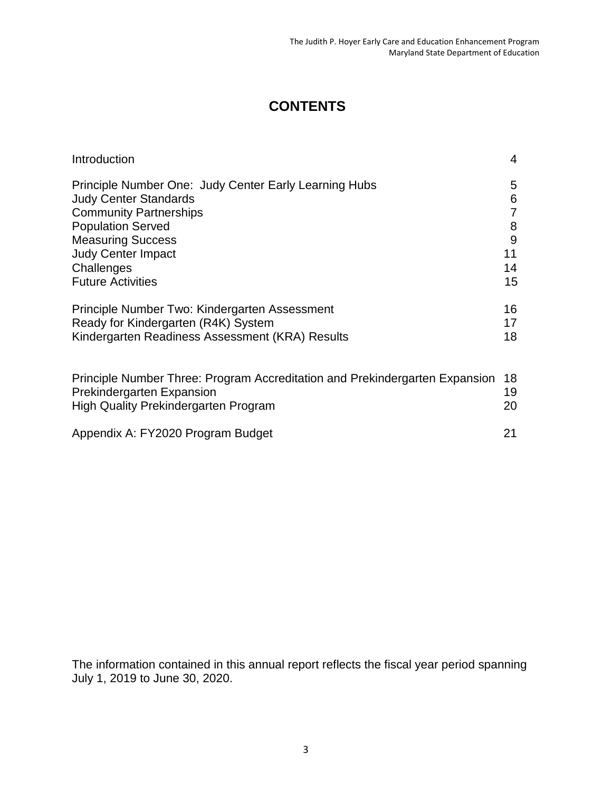# **CONTENTS**

| Introduction                                                                | 4              |
|-----------------------------------------------------------------------------|----------------|
| Principle Number One: Judy Center Early Learning Hubs                       | 5              |
| <b>Judy Center Standards</b>                                                | 6              |
| <b>Community Partnerships</b>                                               | $\overline{7}$ |
| <b>Population Served</b>                                                    | 8              |
| <b>Measuring Success</b>                                                    | 9              |
| <b>Judy Center Impact</b>                                                   | 11             |
| Challenges                                                                  | 14             |
| <b>Future Activities</b>                                                    | 15             |
| Principle Number Two: Kindergarten Assessment                               | 16             |
| Ready for Kindergarten (R4K) System                                         | 17             |
| Kindergarten Readiness Assessment (KRA) Results                             | 18             |
| Principle Number Three: Program Accreditation and Prekindergarten Expansion | 18             |
| <b>Prekindergarten Expansion</b>                                            | 19             |
| <b>High Quality Prekindergarten Program</b>                                 | 20             |
| Appendix A: FY2020 Program Budget                                           | 21             |

The information contained in this annual report reflects the fiscal year period spanning July 1, 2019 to June 30, 2020.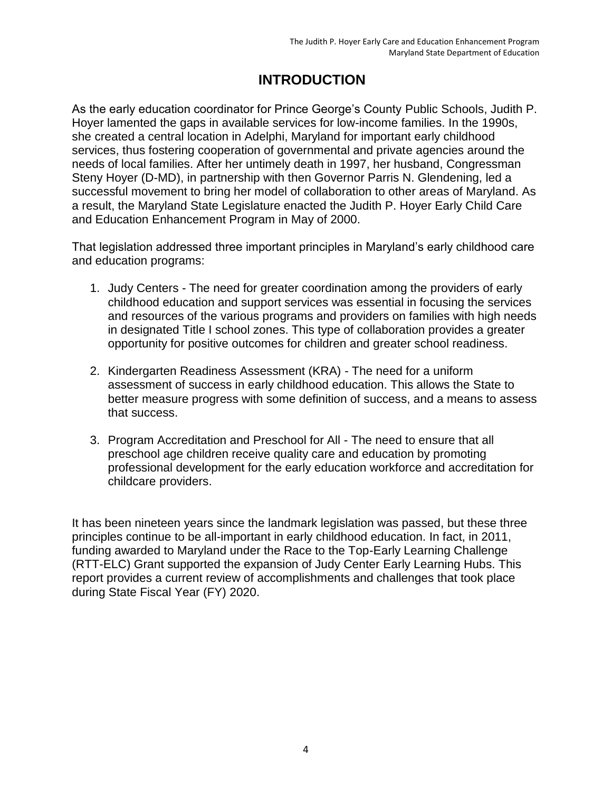# **INTRODUCTION**

As the early education coordinator for Prince George's County Public Schools, Judith P. Hoyer lamented the gaps in available services for low-income families. In the 1990s, she created a central location in Adelphi, Maryland for important early childhood services, thus fostering cooperation of governmental and private agencies around the needs of local families. After her untimely death in 1997, her husband, Congressman Steny Hoyer (D-MD), in partnership with then Governor Parris N. Glendening, led a successful movement to bring her model of collaboration to other areas of Maryland. As a result, the Maryland State Legislature enacted the Judith P. Hoyer Early Child Care and Education Enhancement Program in May of 2000.

That legislation addressed three important principles in Maryland's early childhood care and education programs:

- 1. Judy Centers The need for greater coordination among the providers of early childhood education and support services was essential in focusing the services and resources of the various programs and providers on families with high needs in designated Title I school zones. This type of collaboration provides a greater opportunity for positive outcomes for children and greater school readiness.
- 2. Kindergarten Readiness Assessment (KRA) The need for a uniform assessment of success in early childhood education. This allows the State to better measure progress with some definition of success, and a means to assess that success.
- 3. Program Accreditation and Preschool for All The need to ensure that all preschool age children receive quality care and education by promoting professional development for the early education workforce and accreditation for childcare providers.

It has been nineteen years since the landmark legislation was passed, but these three principles continue to be all-important in early childhood education. In fact, in 2011, funding awarded to Maryland under the Race to the Top-Early Learning Challenge (RTT-ELC) Grant supported the expansion of Judy Center Early Learning Hubs. This report provides a current review of accomplishments and challenges that took place during State Fiscal Year (FY) 2020.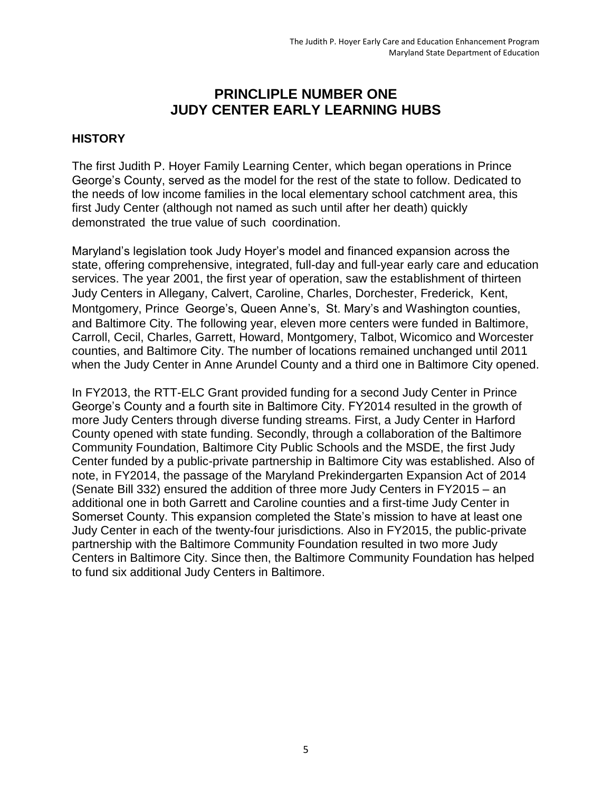## **PRINCLIPLE NUMBER ONE JUDY CENTER EARLY LEARNING HUBS**

#### **HISTORY**

The first Judith P. Hoyer Family Learning Center, which began operations in Prince George's County, served as the model for the rest of the state to follow. Dedicated to the needs of low income families in the local elementary school catchment area, this first Judy Center (although not named as such until after her death) quickly demonstrated the true value of such coordination.

Maryland's legislation took Judy Hoyer's model and financed expansion across the state, offering comprehensive, integrated, full-day and full-year early care and education services. The year 2001, the first year of operation, saw the establishment of thirteen Judy Centers in Allegany, Calvert, Caroline, Charles, Dorchester, Frederick, Kent, Montgomery, Prince George's, Queen Anne's, St. Mary's and Washington counties, and Baltimore City. The following year, eleven more centers were funded in Baltimore, Carroll, Cecil, Charles, Garrett, Howard, Montgomery, Talbot, Wicomico and Worcester counties, and Baltimore City. The number of locations remained unchanged until 2011 when the Judy Center in Anne Arundel County and a third one in Baltimore City opened.

In FY2013, the RTT-ELC Grant provided funding for a second Judy Center in Prince George's County and a fourth site in Baltimore City. FY2014 resulted in the growth of more Judy Centers through diverse funding streams. First, a Judy Center in Harford County opened with state funding. Secondly, through a collaboration of the Baltimore Community Foundation, Baltimore City Public Schools and the MSDE, the first Judy Center funded by a public-private partnership in Baltimore City was established. Also of note, in FY2014, the passage of the Maryland Prekindergarten Expansion Act of 2014 (Senate Bill 332) ensured the addition of three more Judy Centers in FY2015 – an additional one in both Garrett and Caroline counties and a first-time Judy Center in Somerset County. This expansion completed the State's mission to have at least one Judy Center in each of the twenty-four jurisdictions. Also in FY2015, the public-private partnership with the Baltimore Community Foundation resulted in two more Judy Centers in Baltimore City. Since then, the Baltimore Community Foundation has helped to fund six additional Judy Centers in Baltimore.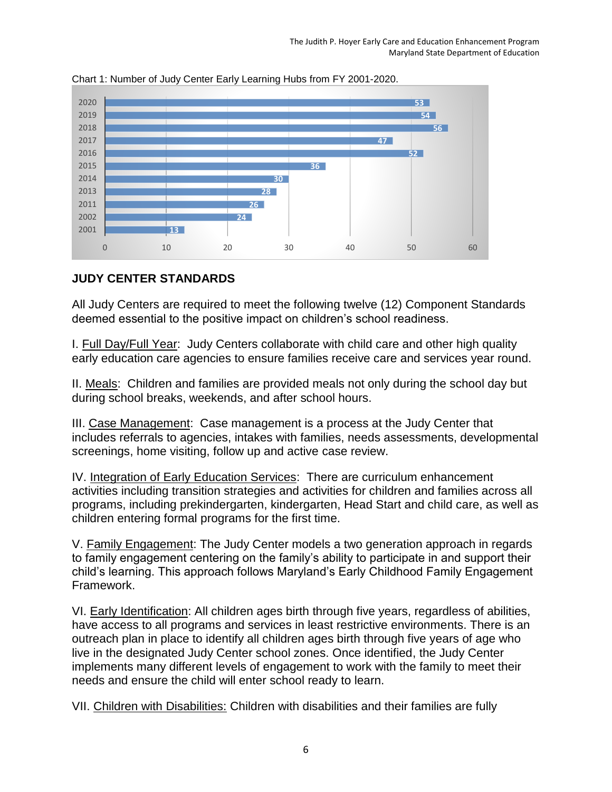

Chart 1: Number of Judy Center Early Learning Hubs from FY 2001-2020.

### **JUDY CENTER STANDARDS**

All Judy Centers are required to meet the following twelve (12) Component Standards deemed essential to the positive impact on children's school readiness.

I. Full Day/Full Year: Judy Centers collaborate with child care and other high quality early education care agencies to ensure families receive care and services year round.

II. Meals: Children and families are provided meals not only during the school day but during school breaks, weekends, and after school hours.

III. Case Management: Case management is a process at the Judy Center that includes referrals to agencies, intakes with families, needs assessments, developmental screenings, home visiting, follow up and active case review.

IV. Integration of Early Education Services: There are curriculum enhancement activities including transition strategies and activities for children and families across all programs, including prekindergarten, kindergarten, Head Start and child care, as well as children entering formal programs for the first time.

V. Family Engagement: The Judy Center models a two generation approach in regards to family engagement centering on the family's ability to participate in and support their child's learning. This approach follows Maryland's Early Childhood Family Engagement Framework.

VI. Early Identification: All children ages birth through five years, regardless of abilities, have access to all programs and services in least restrictive environments. There is an outreach plan in place to identify all children ages birth through five years of age who live in the designated Judy Center school zones. Once identified, the Judy Center implements many different levels of engagement to work with the family to meet their needs and ensure the child will enter school ready to learn.

VII. Children with Disabilities: Children with disabilities and their families are fully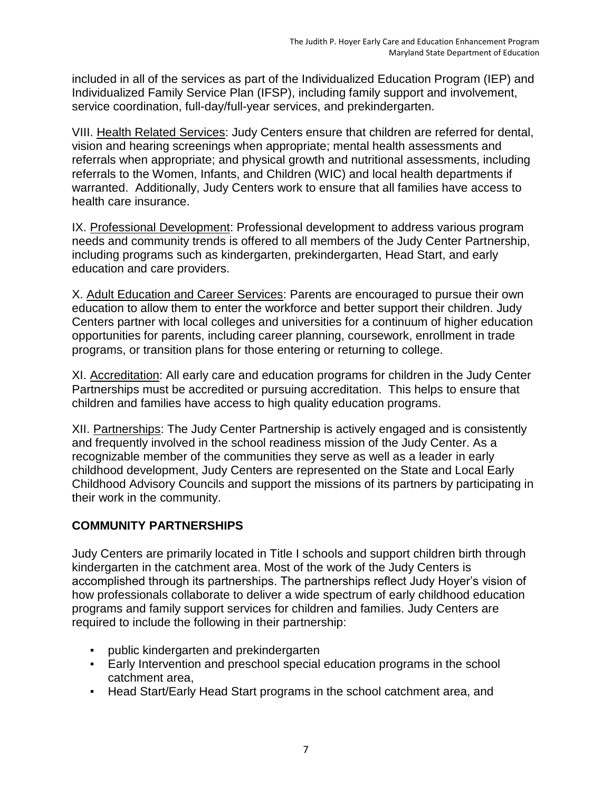included in all of the services as part of the Individualized Education Program (IEP) and Individualized Family Service Plan (IFSP), including family support and involvement, service coordination, full-day/full-year services, and prekindergarten.

VIII. Health Related Services: Judy Centers ensure that children are referred for dental, vision and hearing screenings when appropriate; mental health assessments and referrals when appropriate; and physical growth and nutritional assessments, including referrals to the Women, Infants, and Children (WIC) and local health departments if warranted. Additionally, Judy Centers work to ensure that all families have access to health care insurance.

IX. Professional Development: Professional development to address various program needs and community trends is offered to all members of the Judy Center Partnership, including programs such as kindergarten, prekindergarten, Head Start, and early education and care providers.

X. Adult Education and Career Services: Parents are encouraged to pursue their own education to allow them to enter the workforce and better support their children. Judy Centers partner with local colleges and universities for a continuum of higher education opportunities for parents, including career planning, coursework, enrollment in trade programs, or transition plans for those entering or returning to college.

XI. Accreditation: All early care and education programs for children in the Judy Center Partnerships must be accredited or pursuing accreditation. This helps to ensure that children and families have access to high quality education programs.

XII. Partnerships: The Judy Center Partnership is actively engaged and is consistently and frequently involved in the school readiness mission of the Judy Center. As a recognizable member of the communities they serve as well as a leader in early childhood development, Judy Centers are represented on the State and Local Early Childhood Advisory Councils and support the missions of its partners by participating in their work in the community.

## **COMMUNITY PARTNERSHIPS**

Judy Centers are primarily located in Title I schools and support children birth through kindergarten in the catchment area. Most of the work of the Judy Centers is accomplished through its partnerships. The partnerships reflect Judy Hoyer's vision of how professionals collaborate to deliver a wide spectrum of early childhood education programs and family support services for children and families. Judy Centers are required to include the following in their partnership:

- public kindergarten and prekindergarten
- **Early Intervention and preschool special education programs in the school** catchment area,
- Head Start/Early Head Start programs in the school catchment area, and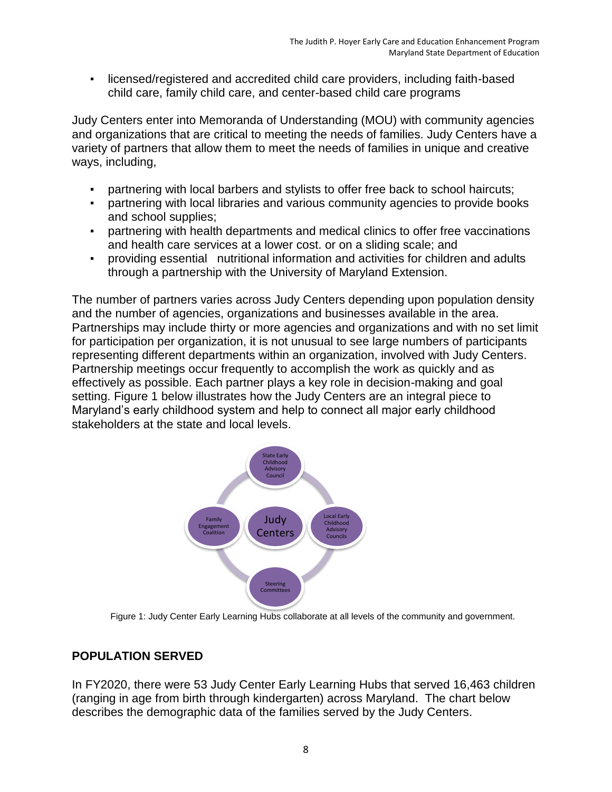▪ licensed/registered and accredited child care providers, including faith-based child care, family child care, and center-based child care programs

Judy Centers enter into Memoranda of Understanding (MOU) with community agencies and organizations that are critical to meeting the needs of families. Judy Centers have a variety of partners that allow them to meet the needs of families in unique and creative ways, including,

- partnering with local barbers and stylists to offer free back to school haircuts;
- partnering with local libraries and various community agencies to provide books and school supplies;
- partnering with health departments and medical clinics to offer free vaccinations and health care services at a lower cost. or on a sliding scale; and
- providing essential nutritional information and activities for children and adults through a partnership with the University of Maryland Extension.

The number of partners varies across Judy Centers depending upon population density and the number of agencies, organizations and businesses available in the area. Partnerships may include thirty or more agencies and organizations and with no set limit for participation per organization, it is not unusual to see large numbers of participants representing different departments within an organization, involved with Judy Centers. Partnership meetings occur frequently to accomplish the work as quickly and as effectively as possible. Each partner plays a key role in decision-making and goal setting. Figure 1 below illustrates how the Judy Centers are an integral piece to Maryland's early childhood system and help to connect all major early childhood stakeholders at the state and local levels.



Figure 1: Judy Center Early Learning Hubs collaborate at all levels of the community and government.

## **POPULATION SERVED**

In FY2020, there were 53 Judy Center Early Learning Hubs that served 16,463 children (ranging in age from birth through kindergarten) across Maryland. The chart below describes the demographic data of the families served by the Judy Centers.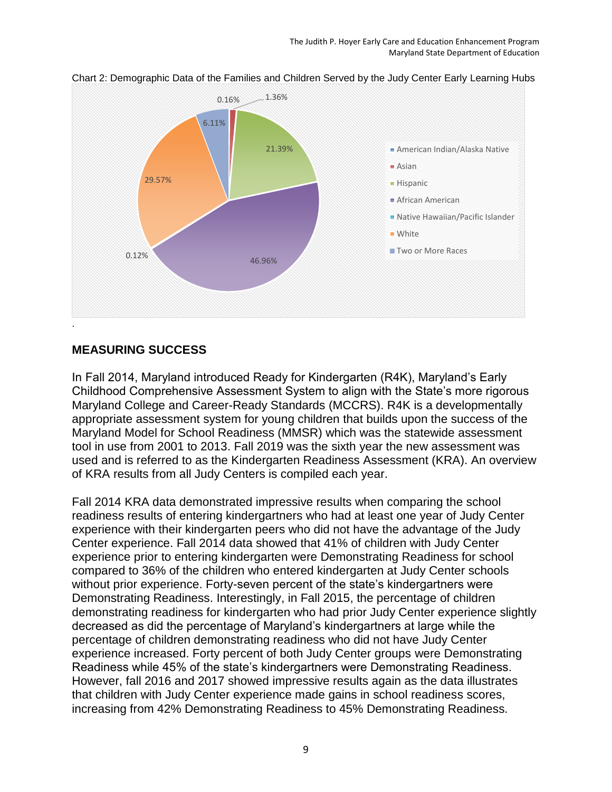

Chart 2: Demographic Data of the Families and Children Served by the Judy Center Early Learning Hubs

### **MEASURING SUCCESS**

In Fall 2014, Maryland introduced Ready for Kindergarten (R4K), Maryland's Early Childhood Comprehensive Assessment System to align with the State's more rigorous Maryland College and Career-Ready Standards (MCCRS). R4K is a developmentally appropriate assessment system for young children that builds upon the success of the Maryland Model for School Readiness (MMSR) which was the statewide assessment tool in use from 2001 to 2013. Fall 2019 was the sixth year the new assessment was used and is referred to as the Kindergarten Readiness Assessment (KRA). An overview of KRA results from all Judy Centers is compiled each year.

Fall 2014 KRA data demonstrated impressive results when comparing the school readiness results of entering kindergartners who had at least one year of Judy Center experience with their kindergarten peers who did not have the advantage of the Judy Center experience. Fall 2014 data showed that 41% of children with Judy Center experience prior to entering kindergarten were Demonstrating Readiness for school compared to 36% of the children who entered kindergarten at Judy Center schools without prior experience. Forty-seven percent of the state's kindergartners were Demonstrating Readiness. Interestingly, in Fall 2015, the percentage of children demonstrating readiness for kindergarten who had prior Judy Center experience slightly decreased as did the percentage of Maryland's kindergartners at large while the percentage of children demonstrating readiness who did not have Judy Center experience increased. Forty percent of both Judy Center groups were Demonstrating Readiness while 45% of the state's kindergartners were Demonstrating Readiness. However, fall 2016 and 2017 showed impressive results again as the data illustrates that children with Judy Center experience made gains in school readiness scores, increasing from 42% Demonstrating Readiness to 45% Demonstrating Readiness.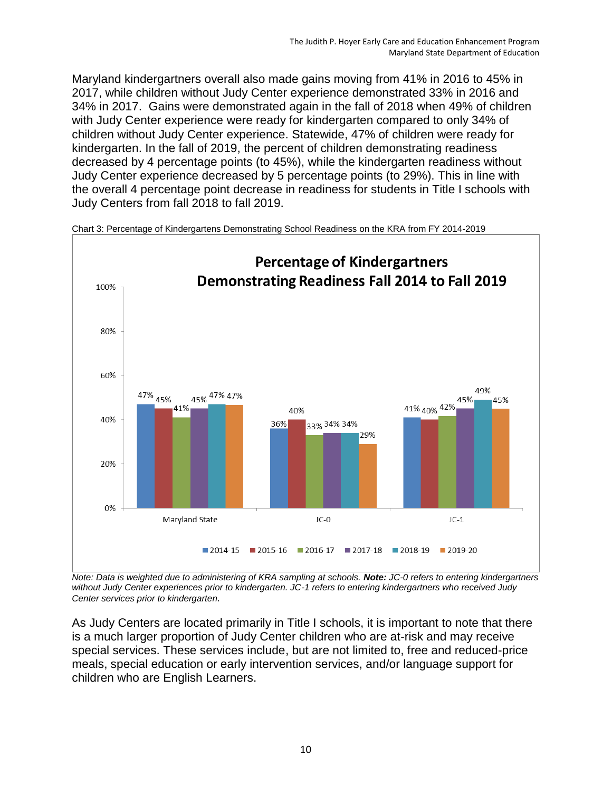Maryland kindergartners overall also made gains moving from 41% in 2016 to 45% in 2017, while children without Judy Center experience demonstrated 33% in 2016 and 34% in 2017. Gains were demonstrated again in the fall of 2018 when 49% of children with Judy Center experience were ready for kindergarten compared to only 34% of children without Judy Center experience. Statewide, 47% of children were ready for kindergarten. In the fall of 2019, the percent of children demonstrating readiness decreased by 4 percentage points (to 45%), while the kindergarten readiness without Judy Center experience decreased by 5 percentage points (to 29%). This in line with the overall 4 percentage point decrease in readiness for students in Title I schools with Judy Centers from fall 2018 to fall 2019.



Chart 3: Percentage of Kindergartens Demonstrating School Readiness on the KRA from FY 2014-2019

*Note: Data is weighted due to administering of KRA sampling at schools. Note: JC-0 refers to entering kindergartners without Judy Center experiences prior to kindergarten. JC-1 refers to entering kindergartners who received Judy Center services prior to kindergarten.* 

As Judy Centers are located primarily in Title I schools, it is important to note that there is a much larger proportion of Judy Center children who are at-risk and may receive special services. These services include, but are not limited to, free and reduced-price meals, special education or early intervention services, and/or language support for children who are English Learners.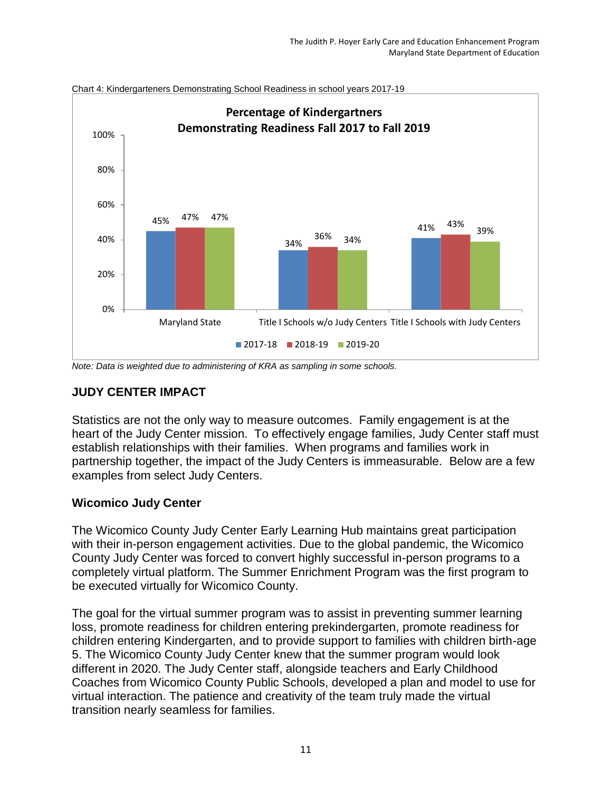

Chart 4: Kindergarteners Demonstrating School Readiness in school years 2017-19

*Note: Data is weighted due to administering of KRA as sampling in some schools.*

### **JUDY CENTER IMPACT**

Statistics are not the only way to measure outcomes. Family engagement is at the heart of the Judy Center mission. To effectively engage families, Judy Center staff must establish relationships with their families. When programs and families work in partnership together, the impact of the Judy Centers is immeasurable. Below are a few examples from select Judy Centers.

#### **Wicomico Judy Center**

The Wicomico County Judy Center Early Learning Hub maintains great participation with their in-person engagement activities. Due to the global pandemic, the Wicomico County Judy Center was forced to convert highly successful in-person programs to a completely virtual platform. The Summer Enrichment Program was the first program to be executed virtually for Wicomico County.

The goal for the virtual summer program was to assist in preventing summer learning loss, promote readiness for children entering prekindergarten, promote readiness for children entering Kindergarten, and to provide support to families with children birth-age 5. The Wicomico County Judy Center knew that the summer program would look different in 2020. The Judy Center staff, alongside teachers and Early Childhood Coaches from Wicomico County Public Schools, developed a plan and model to use for virtual interaction. The patience and creativity of the team truly made the virtual transition nearly seamless for families.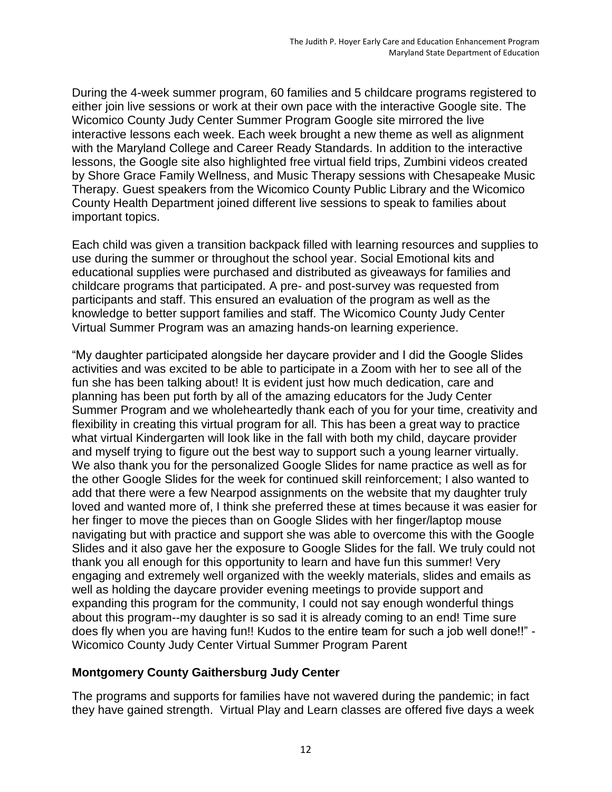During the 4-week summer program, 60 families and 5 childcare programs registered to either join live sessions or work at their own pace with the interactive Google site. The Wicomico County Judy Center Summer Program Google site mirrored the live interactive lessons each week. Each week brought a new theme as well as alignment with the Maryland College and Career Ready Standards. In addition to the interactive lessons, the Google site also highlighted free virtual field trips, Zumbini videos created by Shore Grace Family Wellness, and Music Therapy sessions with Chesapeake Music Therapy. Guest speakers from the Wicomico County Public Library and the Wicomico County Health Department joined different live sessions to speak to families about important topics.

Each child was given a transition backpack filled with learning resources and supplies to use during the summer or throughout the school year. Social Emotional kits and educational supplies were purchased and distributed as giveaways for families and childcare programs that participated. A pre- and post-survey was requested from participants and staff. This ensured an evaluation of the program as well as the knowledge to better support families and staff. The Wicomico County Judy Center Virtual Summer Program was an amazing hands-on learning experience.

"My daughter participated alongside her daycare provider and I did the Google Slides activities and was excited to be able to participate in a Zoom with her to see all of the fun she has been talking about! It is evident just how much dedication, care and planning has been put forth by all of the amazing educators for the Judy Center Summer Program and we wholeheartedly thank each of you for your time, creativity and flexibility in creating this virtual program for all. This has been a great way to practice what virtual Kindergarten will look like in the fall with both my child, daycare provider and myself trying to figure out the best way to support such a young learner virtually. We also thank you for the personalized Google Slides for name practice as well as for the other Google Slides for the week for continued skill reinforcement; I also wanted to add that there were a few Nearpod assignments on the website that my daughter truly loved and wanted more of, I think she preferred these at times because it was easier for her finger to move the pieces than on Google Slides with her finger/laptop mouse navigating but with practice and support she was able to overcome this with the Google Slides and it also gave her the exposure to Google Slides for the fall. We truly could not thank you all enough for this opportunity to learn and have fun this summer! Very engaging and extremely well organized with the weekly materials, slides and emails as well as holding the daycare provider evening meetings to provide support and expanding this program for the community, I could not say enough wonderful things about this program--my daughter is so sad it is already coming to an end! Time sure does fly when you are having fun!! Kudos to the entire team for such a job well done!!" - Wicomico County Judy Center Virtual Summer Program Parent

#### **Montgomery County Gaithersburg Judy Center**

The programs and supports for families have not wavered during the pandemic; in fact they have gained strength. Virtual Play and Learn classes are offered five days a week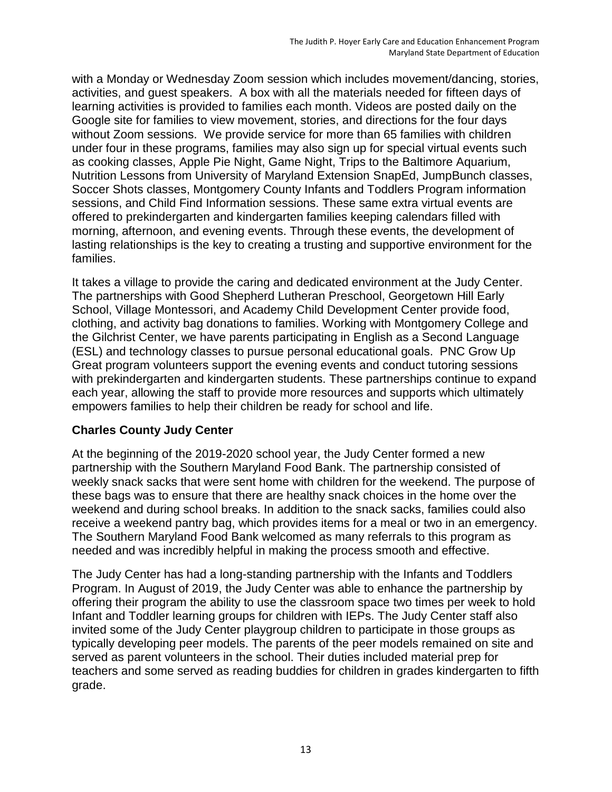with a Monday or Wednesday Zoom session which includes movement/dancing, stories, activities, and guest speakers. A box with all the materials needed for fifteen days of learning activities is provided to families each month. Videos are posted daily on the Google site for families to view movement, stories, and directions for the four days without Zoom sessions. We provide service for more than 65 families with children under four in these programs, families may also sign up for special virtual events such as cooking classes, Apple Pie Night, Game Night, Trips to the Baltimore Aquarium, Nutrition Lessons from University of Maryland Extension SnapEd, JumpBunch classes, Soccer Shots classes, Montgomery County Infants and Toddlers Program information sessions, and Child Find Information sessions. These same extra virtual events are offered to prekindergarten and kindergarten families keeping calendars filled with morning, afternoon, and evening events. Through these events, the development of lasting relationships is the key to creating a trusting and supportive environment for the families.

It takes a village to provide the caring and dedicated environment at the Judy Center. The partnerships with Good Shepherd Lutheran Preschool, Georgetown Hill Early School, Village Montessori, and Academy Child Development Center provide food, clothing, and activity bag donations to families. Working with Montgomery College and the Gilchrist Center, we have parents participating in English as a Second Language (ESL) and technology classes to pursue personal educational goals. PNC Grow Up Great program volunteers support the evening events and conduct tutoring sessions with prekindergarten and kindergarten students. These partnerships continue to expand each year, allowing the staff to provide more resources and supports which ultimately empowers families to help their children be ready for school and life.

#### **Charles County Judy Center**

At the beginning of the 2019-2020 school year, the Judy Center formed a new partnership with the Southern Maryland Food Bank. The partnership consisted of weekly snack sacks that were sent home with children for the weekend. The purpose of these bags was to ensure that there are healthy snack choices in the home over the weekend and during school breaks. In addition to the snack sacks, families could also receive a weekend pantry bag, which provides items for a meal or two in an emergency. The Southern Maryland Food Bank welcomed as many referrals to this program as needed and was incredibly helpful in making the process smooth and effective.

The Judy Center has had a long-standing partnership with the Infants and Toddlers Program. In August of 2019, the Judy Center was able to enhance the partnership by offering their program the ability to use the classroom space two times per week to hold Infant and Toddler learning groups for children with IEPs. The Judy Center staff also invited some of the Judy Center playgroup children to participate in those groups as typically developing peer models. The parents of the peer models remained on site and served as parent volunteers in the school. Their duties included material prep for teachers and some served as reading buddies for children in grades kindergarten to fifth grade.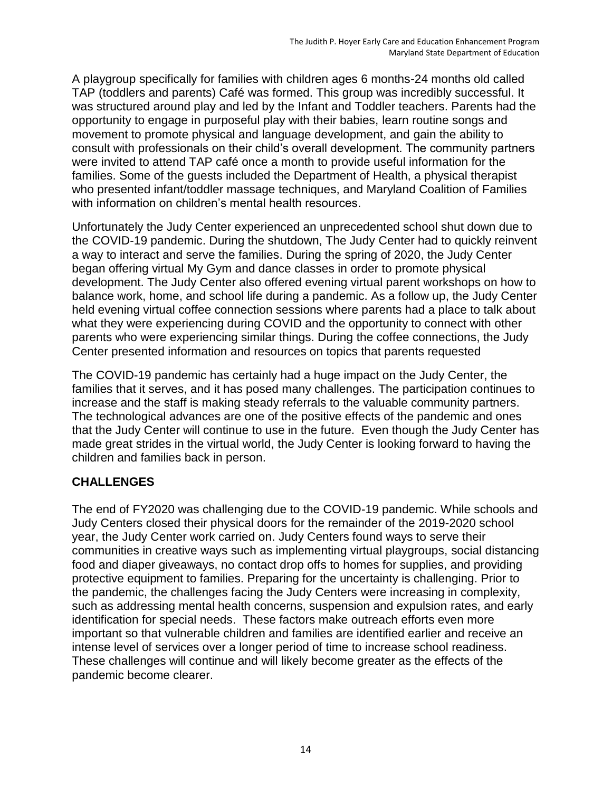A playgroup specifically for families with children ages 6 months-24 months old called TAP (toddlers and parents) Café was formed. This group was incredibly successful. It was structured around play and led by the Infant and Toddler teachers. Parents had the opportunity to engage in purposeful play with their babies, learn routine songs and movement to promote physical and language development, and gain the ability to consult with professionals on their child's overall development. The community partners were invited to attend TAP café once a month to provide useful information for the families. Some of the guests included the Department of Health, a physical therapist who presented infant/toddler massage techniques, and Maryland Coalition of Families with information on children's mental health resources.

Unfortunately the Judy Center experienced an unprecedented school shut down due to the COVID-19 pandemic. During the shutdown, The Judy Center had to quickly reinvent a way to interact and serve the families. During the spring of 2020, the Judy Center began offering virtual My Gym and dance classes in order to promote physical development. The Judy Center also offered evening virtual parent workshops on how to balance work, home, and school life during a pandemic. As a follow up, the Judy Center held evening virtual coffee connection sessions where parents had a place to talk about what they were experiencing during COVID and the opportunity to connect with other parents who were experiencing similar things. During the coffee connections, the Judy Center presented information and resources on topics that parents requested

The COVID-19 pandemic has certainly had a huge impact on the Judy Center, the families that it serves, and it has posed many challenges. The participation continues to increase and the staff is making steady referrals to the valuable community partners. The technological advances are one of the positive effects of the pandemic and ones that the Judy Center will continue to use in the future. Even though the Judy Center has made great strides in the virtual world, the Judy Center is looking forward to having the children and families back in person.

#### **CHALLENGES**

The end of FY2020 was challenging due to the COVID-19 pandemic. While schools and Judy Centers closed their physical doors for the remainder of the 2019-2020 school year, the Judy Center work carried on. Judy Centers found ways to serve their communities in creative ways such as implementing virtual playgroups, social distancing food and diaper giveaways, no contact drop offs to homes for supplies, and providing protective equipment to families. Preparing for the uncertainty is challenging. Prior to the pandemic, the challenges facing the Judy Centers were increasing in complexity, such as addressing mental health concerns, suspension and expulsion rates, and early identification for special needs. These factors make outreach efforts even more important so that vulnerable children and families are identified earlier and receive an intense level of services over a longer period of time to increase school readiness. These challenges will continue and will likely become greater as the effects of the pandemic become clearer.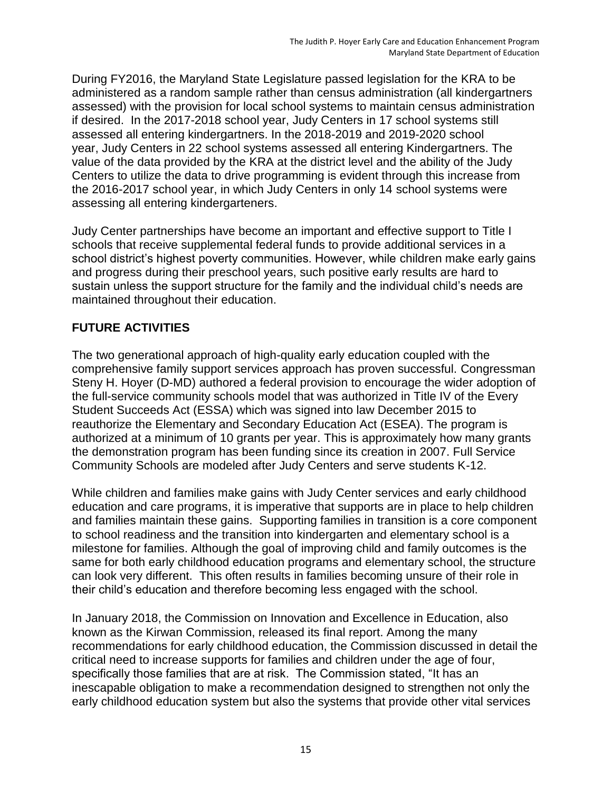During FY2016, the Maryland State Legislature passed legislation for the KRA to be administered as a random sample rather than census administration (all kindergartners assessed) with the provision for local school systems to maintain census administration if desired. In the 2017-2018 school year, Judy Centers in 17 school systems still assessed all entering kindergartners. In the 2018-2019 and 2019-2020 school year, Judy Centers in 22 school systems assessed all entering Kindergartners. The value of the data provided by the KRA at the district level and the ability of the Judy Centers to utilize the data to drive programming is evident through this increase from the 2016-2017 school year, in which Judy Centers in only 14 school systems were assessing all entering kindergarteners.

Judy Center partnerships have become an important and effective support to Title I schools that receive supplemental federal funds to provide additional services in a school district's highest poverty communities. However, while children make early gains and progress during their preschool years, such positive early results are hard to sustain unless the support structure for the family and the individual child's needs are maintained throughout their education.

## **FUTURE ACTIVITIES**

The two generational approach of high-quality early education coupled with the comprehensive family support services approach has proven successful. Congressman Steny H. Hoyer (D-MD) authored a federal provision to encourage the wider adoption of the full-service community schools model that was authorized in Title IV of the Every Student Succeeds Act (ESSA) which was signed into law December 2015 to reauthorize the Elementary and Secondary Education Act (ESEA). The program is authorized at a minimum of 10 grants per year. This is approximately how many grants the demonstration program has been funding since its creation in 2007. Full Service Community Schools are modeled after Judy Centers and serve students K-12.

While children and families make gains with Judy Center services and early childhood education and care programs, it is imperative that supports are in place to help children and families maintain these gains. Supporting families in transition is a core component to school readiness and the transition into kindergarten and elementary school is a milestone for families. Although the goal of improving child and family outcomes is the same for both early childhood education programs and elementary school, the structure can look very different. This often results in families becoming unsure of their role in their child's education and therefore becoming less engaged with the school.

In January 2018, the Commission on Innovation and Excellence in Education, also known as the Kirwan Commission, released its final report. Among the many recommendations for early childhood education, the Commission discussed in detail the critical need to increase supports for families and children under the age of four, specifically those families that are at risk. The Commission stated, "It has an inescapable obligation to make a recommendation designed to strengthen not only the early childhood education system but also the systems that provide other vital services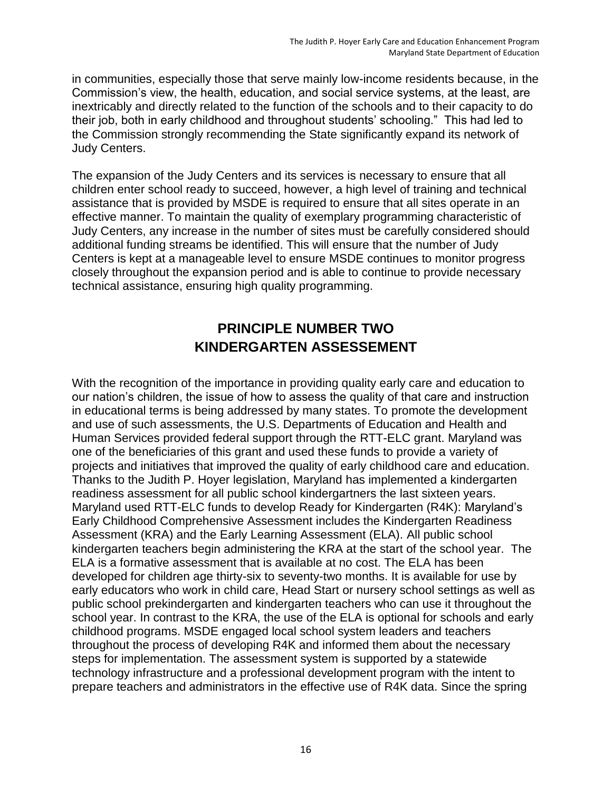in communities, especially those that serve mainly low-income residents because, in the Commission's view, the health, education, and social service systems, at the least, are inextricably and directly related to the function of the schools and to their capacity to do their job, both in early childhood and throughout students' schooling." This had led to the Commission strongly recommending the State significantly expand its network of Judy Centers.

The expansion of the Judy Centers and its services is necessary to ensure that all children enter school ready to succeed, however, a high level of training and technical assistance that is provided by MSDE is required to ensure that all sites operate in an effective manner. To maintain the quality of exemplary programming characteristic of Judy Centers, any increase in the number of sites must be carefully considered should additional funding streams be identified. This will ensure that the number of Judy Centers is kept at a manageable level to ensure MSDE continues to monitor progress closely throughout the expansion period and is able to continue to provide necessary technical assistance, ensuring high quality programming.

# **PRINCIPLE NUMBER TWO KINDERGARTEN ASSESSEMENT**

With the recognition of the importance in providing quality early care and education to our nation's children, the issue of how to assess the quality of that care and instruction in educational terms is being addressed by many states. To promote the development and use of such assessments, the U.S. Departments of Education and Health and Human Services provided federal support through the RTT-ELC grant. Maryland was one of the beneficiaries of this grant and used these funds to provide a variety of projects and initiatives that improved the quality of early childhood care and education. Thanks to the Judith P. Hoyer legislation, Maryland has implemented a kindergarten readiness assessment for all public school kindergartners the last sixteen years. Maryland used RTT-ELC funds to develop Ready for Kindergarten (R4K): Maryland's Early Childhood Comprehensive Assessment includes the Kindergarten Readiness Assessment (KRA) and the Early Learning Assessment (ELA). All public school kindergarten teachers begin administering the KRA at the start of the school year. The ELA is a formative assessment that is available at no cost. The ELA has been developed for children age thirty-six to seventy-two months. It is available for use by early educators who work in child care, Head Start or nursery school settings as well as public school prekindergarten and kindergarten teachers who can use it throughout the school year. In contrast to the KRA, the use of the ELA is optional for schools and early childhood programs. MSDE engaged local school system leaders and teachers throughout the process of developing R4K and informed them about the necessary steps for implementation. The assessment system is supported by a statewide technology infrastructure and a professional development program with the intent to prepare teachers and administrators in the effective use of R4K data. Since the spring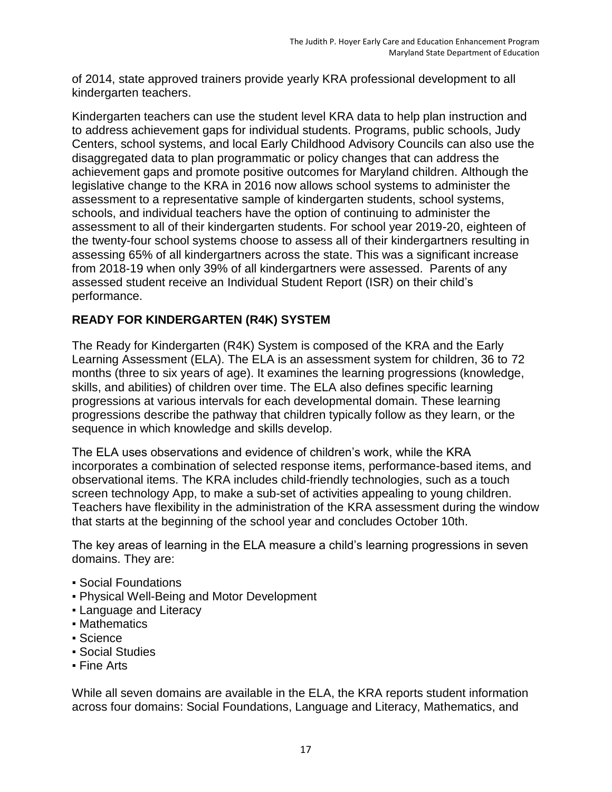of 2014, state approved trainers provide yearly KRA professional development to all kindergarten teachers.

Kindergarten teachers can use the student level KRA data to help plan instruction and to address achievement gaps for individual students. Programs, public schools, Judy Centers, school systems, and local Early Childhood Advisory Councils can also use the disaggregated data to plan programmatic or policy changes that can address the achievement gaps and promote positive outcomes for Maryland children. Although the legislative change to the KRA in 2016 now allows school systems to administer the assessment to a representative sample of kindergarten students, school systems, schools, and individual teachers have the option of continuing to administer the assessment to all of their kindergarten students. For school year 2019-20, eighteen of the twenty-four school systems choose to assess all of their kindergartners resulting in assessing 65% of all kindergartners across the state. This was a significant increase from 2018-19 when only 39% of all kindergartners were assessed. Parents of any assessed student receive an Individual Student Report (ISR) on their child's performance.

## **READY FOR KINDERGARTEN (R4K) SYSTEM**

The Ready for Kindergarten (R4K) System is composed of the KRA and the Early Learning Assessment (ELA). The ELA is an assessment system for children, 36 to 72 months (three to six years of age). It examines the learning progressions (knowledge, skills, and abilities) of children over time. The ELA also defines specific learning progressions at various intervals for each developmental domain. These learning progressions describe the pathway that children typically follow as they learn, or the sequence in which knowledge and skills develop.

The ELA uses observations and evidence of children's work, while the KRA incorporates a combination of selected response items, performance-based items, and observational items. The KRA includes child-friendly technologies, such as a touch screen technology App, to make a sub-set of activities appealing to young children. Teachers have flexibility in the administration of the KRA assessment during the window that starts at the beginning of the school year and concludes October 10th.

The key areas of learning in the ELA measure a child's learning progressions in seven domains. They are:

- Social Foundations
- **Physical Well-Being and Motor Development**
- **Example 2 and Literacy**
- Mathematics
- Science
- Social Studies
- Fine Arts

While all seven domains are available in the ELA, the KRA reports student information across four domains: Social Foundations, Language and Literacy, Mathematics, and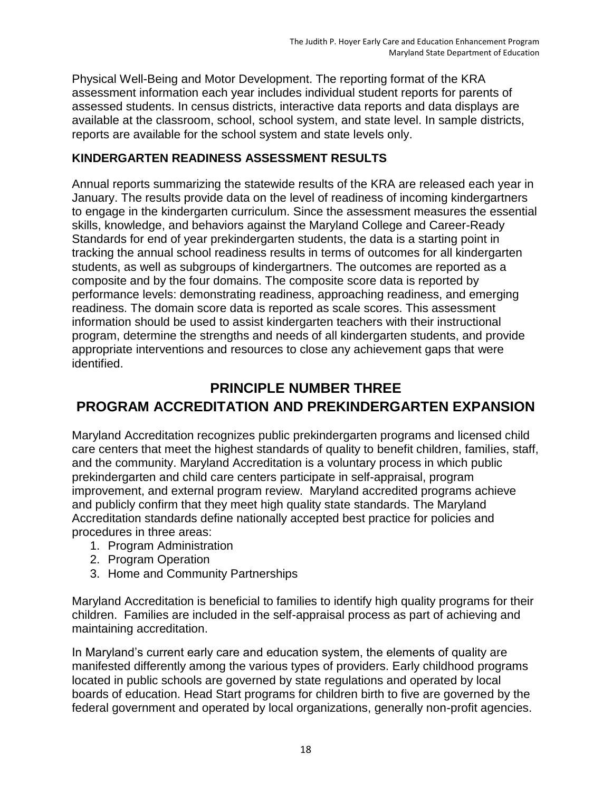Physical Well-Being and Motor Development. The reporting format of the KRA assessment information each year includes individual student reports for parents of assessed students. In census districts, interactive data reports and data displays are available at the classroom, school, school system, and state level. In sample districts, reports are available for the school system and state levels only.

#### **KINDERGARTEN READINESS ASSESSMENT RESULTS**

Annual reports summarizing the statewide results of the KRA are released each year in January. The results provide data on the level of readiness of incoming kindergartners to engage in the kindergarten curriculum. Since the assessment measures the essential skills, knowledge, and behaviors against the Maryland College and Career-Ready Standards for end of year prekindergarten students, the data is a starting point in tracking the annual school readiness results in terms of outcomes for all kindergarten students, as well as subgroups of kindergartners. The outcomes are reported as a composite and by the four domains. The composite score data is reported by performance levels: demonstrating readiness, approaching readiness, and emerging readiness. The domain score data is reported as scale scores. This assessment information should be used to assist kindergarten teachers with their instructional program, determine the strengths and needs of all kindergarten students, and provide appropriate interventions and resources to close any achievement gaps that were identified.

# **PRINCIPLE NUMBER THREE PROGRAM ACCREDITATION AND PREKINDERGARTEN EXPANSION**

Maryland Accreditation recognizes public prekindergarten programs and licensed child care centers that meet the highest standards of quality to benefit children, families, staff, and the community. Maryland Accreditation is a voluntary process in which public prekindergarten and child care centers participate in self-appraisal, program improvement, and external program review. Maryland accredited programs achieve and publicly confirm that they meet high quality state standards. The Maryland Accreditation standards define nationally accepted best practice for policies and procedures in three areas:

- 1. Program Administration
- 2. Program Operation
- 3. Home and Community Partnerships

Maryland Accreditation is beneficial to families to identify high quality programs for their children. Families are included in the self-appraisal process as part of achieving and maintaining accreditation.

In Maryland's current early care and education system, the elements of quality are manifested differently among the various types of providers. Early childhood programs located in public schools are governed by state regulations and operated by local boards of education. Head Start programs for children birth to five are governed by the federal government and operated by local organizations, generally non-profit agencies.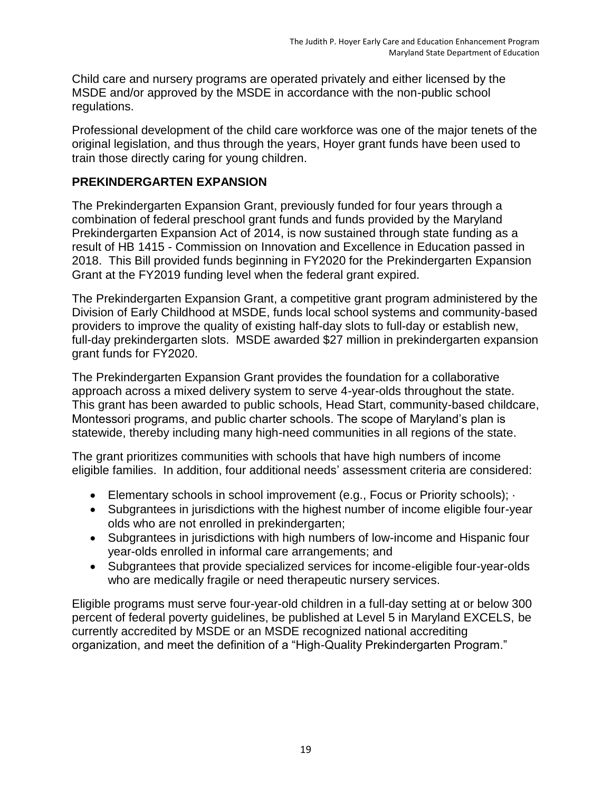Child care and nursery programs are operated privately and either licensed by the MSDE and/or approved by the MSDE in accordance with the non-public school regulations.

Professional development of the child care workforce was one of the major tenets of the original legislation, and thus through the years, Hoyer grant funds have been used to train those directly caring for young children.

### **PREKINDERGARTEN EXPANSION**

The Prekindergarten Expansion Grant, previously funded for four years through a combination of federal preschool grant funds and funds provided by the Maryland Prekindergarten Expansion Act of 2014, is now sustained through state funding as a result of HB 1415 - Commission on Innovation and Excellence in Education passed in 2018. This Bill provided funds beginning in FY2020 for the Prekindergarten Expansion Grant at the FY2019 funding level when the federal grant expired.

The Prekindergarten Expansion Grant, a competitive grant program administered by the Division of Early Childhood at MSDE, funds local school systems and community-based providers to improve the quality of existing half-day slots to full-day or establish new, full-day prekindergarten slots. MSDE awarded \$27 million in prekindergarten expansion grant funds for FY2020.

The Prekindergarten Expansion Grant provides the foundation for a collaborative approach across a mixed delivery system to serve 4-year-olds throughout the state. This grant has been awarded to public schools, Head Start, community-based childcare, Montessori programs, and public charter schools. The scope of Maryland's plan is statewide, thereby including many high-need communities in all regions of the state.

The grant prioritizes communities with schools that have high numbers of income eligible families. In addition, four additional needs' assessment criteria are considered:

- Elementary schools in school improvement (e.g., Focus or Priority schools); ·
- Subgrantees in jurisdictions with the highest number of income eligible four-year olds who are not enrolled in prekindergarten;
- Subgrantees in jurisdictions with high numbers of low-income and Hispanic four year-olds enrolled in informal care arrangements; and
- Subgrantees that provide specialized services for income-eligible four-year-olds who are medically fragile or need therapeutic nursery services.

Eligible programs must serve four-year-old children in a full-day setting at or below 300 percent of federal poverty guidelines, be published at Level 5 in Maryland EXCELS, be currently accredited by MSDE or an MSDE recognized national accrediting organization, and meet the definition of a "High-Quality Prekindergarten Program."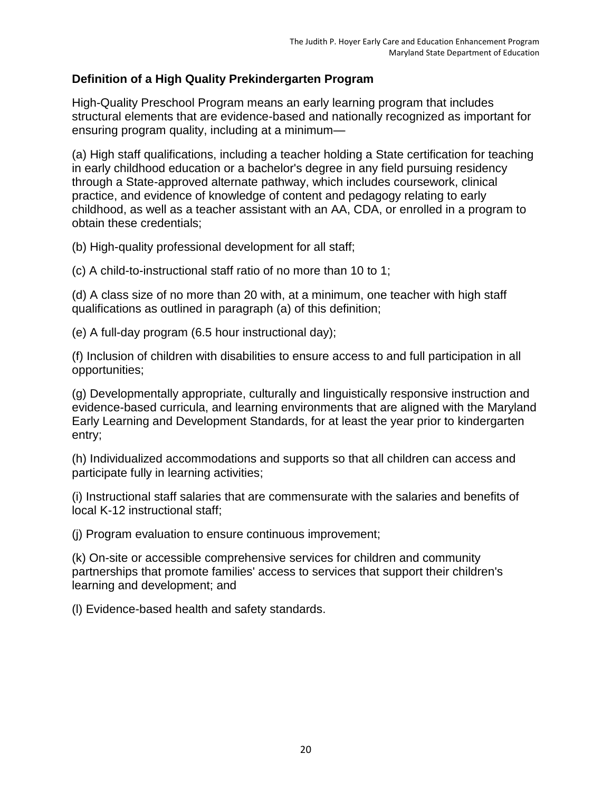### **Definition of a High Quality Prekindergarten Program**

High-Quality Preschool Program means an early learning program that includes structural elements that are evidence-based and nationally recognized as important for ensuring program quality, including at a minimum—

(a) High staff qualifications, including a teacher holding a State certification for teaching in early childhood education or a bachelor's degree in any field pursuing residency through a State-approved alternate pathway, which includes coursework, clinical practice, and evidence of knowledge of content and pedagogy relating to early childhood, as well as a teacher assistant with an AA, CDA, or enrolled in a program to obtain these credentials;

(b) High-quality professional development for all staff;

(c) A child-to-instructional staff ratio of no more than 10 to 1;

(d) A class size of no more than 20 with, at a minimum, one teacher with high staff qualifications as outlined in paragraph (a) of this definition;

(e) A full-day program (6.5 hour instructional day);

(f) Inclusion of children with disabilities to ensure access to and full participation in all opportunities;

(g) Developmentally appropriate, culturally and linguistically responsive instruction and evidence-based curricula, and learning environments that are aligned with the Maryland Early Learning and Development Standards, for at least the year prior to kindergarten entry;

(h) Individualized accommodations and supports so that all children can access and participate fully in learning activities;

(i) Instructional staff salaries that are commensurate with the salaries and benefits of local K-12 instructional staff;

(j) Program evaluation to ensure continuous improvement;

(k) On-site or accessible comprehensive services for children and community partnerships that promote families' access to services that support their children's learning and development; and

(l) Evidence-based health and safety standards.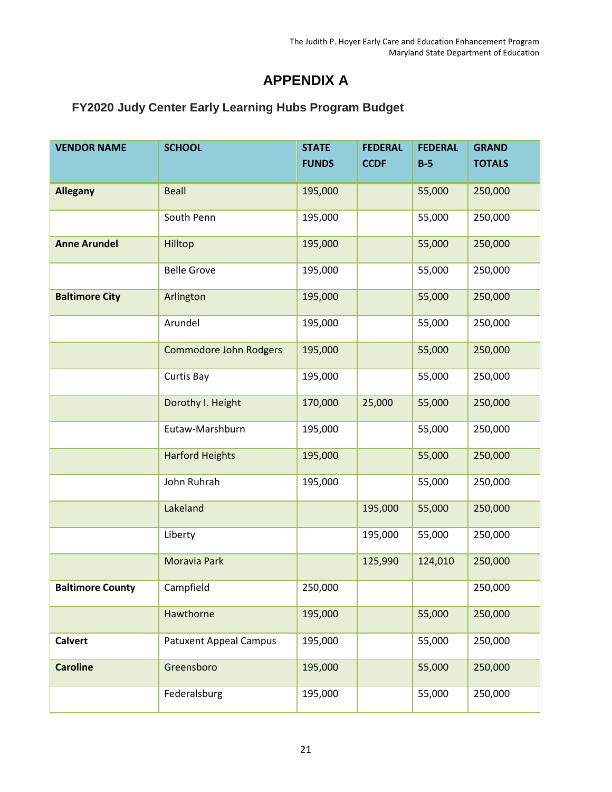# **APPENDIX A**

# **FY2020 Judy Center Early Learning Hubs Program Budget**

| <b>VENDOR NAME</b>      | <b>SCHOOL</b>                 | <b>STATE</b><br><b>FUNDS</b> | <b>FEDERAL</b><br><b>CCDF</b> | <b>FEDERAL</b><br>$B-5$ | <b>GRAND</b><br><b>TOTALS</b> |
|-------------------------|-------------------------------|------------------------------|-------------------------------|-------------------------|-------------------------------|
| <b>Allegany</b>         | <b>Beall</b>                  | 195,000                      |                               | 55,000                  | 250,000                       |
|                         | South Penn                    | 195,000                      |                               | 55,000                  | 250,000                       |
| <b>Anne Arundel</b>     | Hilltop                       | 195,000                      |                               | 55,000                  | 250,000                       |
|                         | <b>Belle Grove</b>            | 195,000                      |                               | 55,000                  | 250,000                       |
| <b>Baltimore City</b>   | Arlington                     | 195,000                      |                               | 55,000                  | 250,000                       |
|                         | Arundel                       | 195,000                      |                               | 55,000                  | 250,000                       |
|                         | <b>Commodore John Rodgers</b> | 195,000                      |                               | 55,000                  | 250,000                       |
|                         | Curtis Bay                    | 195,000                      |                               | 55,000                  | 250,000                       |
|                         | Dorothy I. Height             | 170,000                      | 25,000                        | 55,000                  | 250,000                       |
|                         | Eutaw-Marshburn               | 195,000                      |                               | 55,000                  | 250,000                       |
|                         | <b>Harford Heights</b>        | 195,000                      |                               | 55,000                  | 250,000                       |
|                         | John Ruhrah                   | 195,000                      |                               | 55,000                  | 250,000                       |
|                         | Lakeland                      |                              | 195,000                       | 55,000                  | 250,000                       |
|                         | Liberty                       |                              | 195,000                       | 55,000                  | 250,000                       |
|                         | Moravia Park                  |                              | 125,990                       | 124,010                 | 250,000                       |
| <b>Baltimore County</b> | Campfield                     | 250,000                      |                               |                         | 250,000                       |
|                         | Hawthorne                     | 195,000                      |                               | 55,000                  | 250,000                       |
| <b>Calvert</b>          | <b>Patuxent Appeal Campus</b> | 195,000                      |                               | 55,000                  | 250,000                       |
| <b>Caroline</b>         | Greensboro                    | 195,000                      |                               | 55,000                  | 250,000                       |
|                         | Federalsburg                  | 195,000                      |                               | 55,000                  | 250,000                       |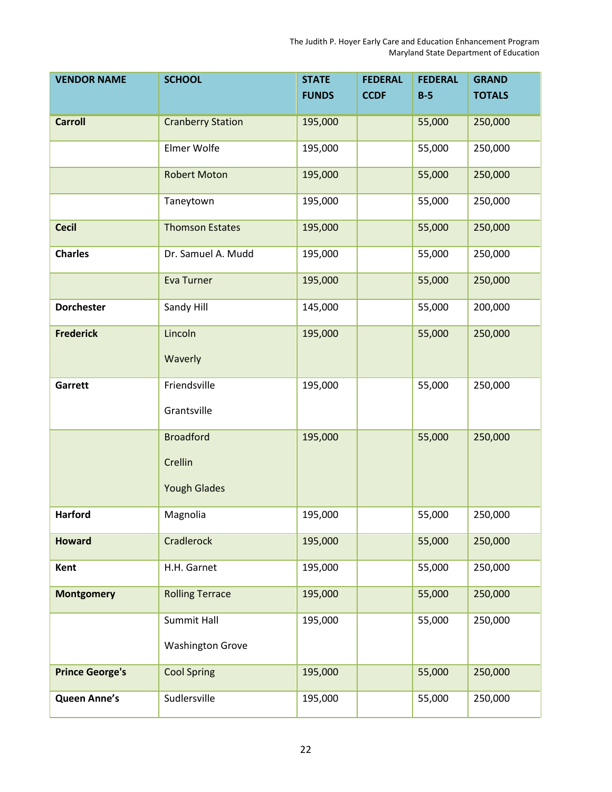| <b>VENDOR NAME</b>     | <b>SCHOOL</b>            | <b>STATE</b> | <b>FEDERAL</b> | <b>FEDERAL</b> | <b>GRAND</b>  |
|------------------------|--------------------------|--------------|----------------|----------------|---------------|
|                        |                          | <b>FUNDS</b> | <b>CCDF</b>    | $B-5$          | <b>TOTALS</b> |
| <b>Carroll</b>         | <b>Cranberry Station</b> | 195,000      |                | 55,000         | 250,000       |
|                        |                          |              |                |                |               |
|                        | Elmer Wolfe              | 195,000      |                | 55,000         | 250,000       |
|                        | <b>Robert Moton</b>      | 195,000      |                | 55,000         | 250,000       |
|                        | Taneytown                | 195,000      |                | 55,000         | 250,000       |
| <b>Cecil</b>           | <b>Thomson Estates</b>   | 195,000      |                | 55,000         | 250,000       |
| <b>Charles</b>         | Dr. Samuel A. Mudd       | 195,000      |                | 55,000         | 250,000       |
|                        | <b>Eva Turner</b>        | 195,000      |                | 55,000         | 250,000       |
| <b>Dorchester</b>      | Sandy Hill               | 145,000      |                | 55,000         | 200,000       |
| <b>Frederick</b>       | Lincoln                  | 195,000      |                | 55,000         | 250,000       |
|                        | Waverly                  |              |                |                |               |
| Garrett                | Friendsville             | 195,000      |                | 55,000         | 250,000       |
|                        | Grantsville              |              |                |                |               |
|                        | <b>Broadford</b>         | 195,000      |                | 55,000         | 250,000       |
|                        | Crellin                  |              |                |                |               |
|                        | <b>Yough Glades</b>      |              |                |                |               |
| <b>Harford</b>         | Magnolia                 | 195,000      |                | 55,000         | 250,000       |
| <b>Howard</b>          | Cradlerock               | 195,000      |                | 55,000         | 250,000       |
| Kent                   | H.H. Garnet              | 195,000      |                | 55,000         | 250,000       |
| <b>Montgomery</b>      | <b>Rolling Terrace</b>   | 195,000      |                | 55,000         | 250,000       |
|                        | Summit Hall              | 195,000      |                | 55,000         | 250,000       |
|                        | <b>Washington Grove</b>  |              |                |                |               |
| <b>Prince George's</b> | <b>Cool Spring</b>       | 195,000      |                | 55,000         | 250,000       |
| <b>Queen Anne's</b>    | Sudlersville             | 195,000      |                | 55,000         | 250,000       |